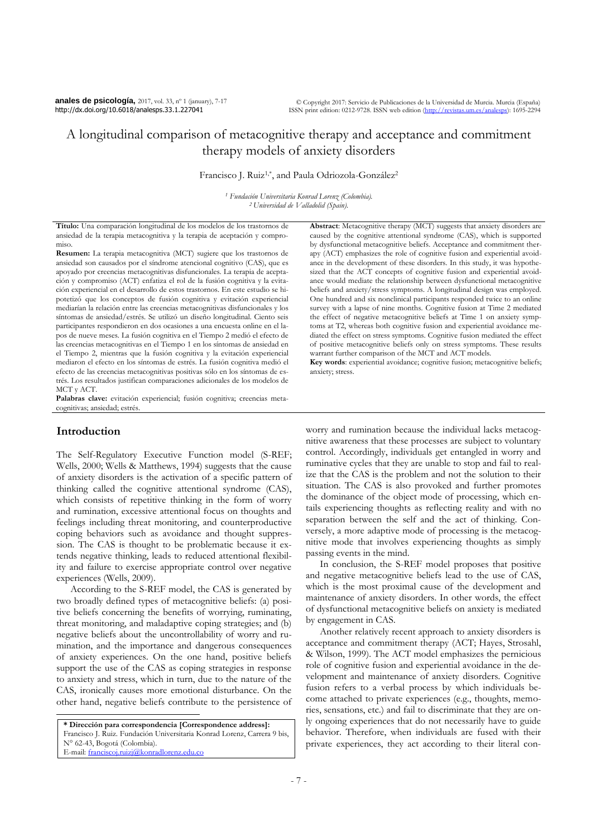**anales de psicología,** 2017, vol. 33, nº 1 (january), 7-17 http://dx.doi.org/10.6018/analesps.33.1.227041

© Copyright 2017: Servicio de Publicaciones de la Universidad de Murcia. Murcia (España) ISSN print edition: 0212-9728. ISSN web edition [\(http://revistas.um.es/analesps\)](http://revistas.um.es/analesps): 1695-2294

# A longitudinal comparison of metacognitive therapy and acceptance and commitment therapy models of anxiety disorders

Francisco J. Ruiz<sup>1,\*</sup>, and Paula Odriozola-González<sup>2</sup>

*<sup>1</sup> Fundación Universitaria Konrad Lorenz (Colombia). <sup>2</sup>Universidad de Valladolid (Spain).*

**Título:** Una comparación longitudinal de los modelos de los trastornos de ansiedad de la terapia metacognitiva y la terapia de aceptación y compromiso.

**Resumen:** La terapia metacognitiva (MCT) sugiere que los trastornos de ansiedad son causados por el síndrome atencional cognitivo (CAS), que es apoyado por creencias metacognitivas disfuncionales. La terapia de aceptación y compromiso (ACT) enfatiza el rol de la fusión cognitiva y la evitación experiencial en el desarrollo de estos trastornos. En este estudio se hipotetizó que los conceptos de fusión cognitiva y evitación experiencial mediarían la relación entre las creencias metacognitivas disfuncionales y los síntomas de ansiedad/estrés. Se utilizó un diseño longitudinal. Ciento seis participantes respondieron en dos ocasiones a una encuesta online en el lapos de nueve meses. La fusión cognitiva en el Tiempo 2 medió el efecto de las creencias metacognitivas en el Tiempo 1 en los síntomas de ansiedad en el Tiempo 2, mientras que la fusión cognitiva y la evitación experiencial mediaron el efecto en los síntomas de estrés. La fusión cognitiva medió el efecto de las creencias metacognitivas positivas sólo en los síntomas de estrés. Los resultados justifican comparaciones adicionales de los modelos de MCT y ACT.

**Palabras clave:** evitación experiencial; fusión cognitiva; creencias metacognitivas; ansiedad; estrés.

## **Introduction**

 $\overline{a}$ 

The Self-Regulatory Executive Function model (S-REF; Wells, 2000; Wells & Matthews, 1994) suggests that the cause of anxiety disorders is the activation of a specific pattern of thinking called the cognitive attentional syndrome (CAS), which consists of repetitive thinking in the form of worry and rumination, excessive attentional focus on thoughts and feelings including threat monitoring, and counterproductive coping behaviors such as avoidance and thought suppression. The CAS is thought to be problematic because it extends negative thinking, leads to reduced attentional flexibility and failure to exercise appropriate control over negative experiences (Wells, 2009).

According to the S-REF model, the CAS is generated by two broadly defined types of metacognitive beliefs: (a) positive beliefs concerning the benefits of worrying, ruminating, threat monitoring, and maladaptive coping strategies; and (b) negative beliefs about the uncontrollability of worry and rumination, and the importance and dangerous consequences of anxiety experiences. On the one hand, positive beliefs support the use of the CAS as coping strategies in response to anxiety and stress, which in turn, due to the nature of the CAS, ironically causes more emotional disturbance. On the other hand, negative beliefs contribute to the persistence of

**\* Dirección para correspondencia [Correspondence address]:** Francisco J. Ruiz. Fundación Universitaria Konrad Lorenz, Carrera 9 bis, N° 62-43, Bogotá (Colombia). E-mail[: franciscoj.ruizj@konradlorenz.edu.co](mailto:franciscoj.ruizj@konradlorenz.edu.co)

**Abstract**: Metacognitive therapy (MCT) suggests that anxiety disorders are caused by the cognitive attentional syndrome (CAS), which is supported by dysfunctional metacognitive beliefs. Acceptance and commitment therapy (ACT) emphasizes the role of cognitive fusion and experiential avoidance in the development of these disorders. In this study, it was hypothesized that the ACT concepts of cognitive fusion and experiential avoidance would mediate the relationship between dysfunctional metacognitive beliefs and anxiety/stress symptoms. A longitudinal design was employed. One hundred and six nonclinical participants responded twice to an online survey with a lapse of nine months. Cognitive fusion at Time 2 mediated the effect of negative metacognitive beliefs at Time 1 on anxiety symptoms at T2, whereas both cognitive fusion and experiential avoidance mediated the effect on stress symptoms. Cognitive fusion mediated the effect of positive metacognitive beliefs only on stress symptoms. These results warrant further comparison of the MCT and ACT models.

**Key words**: experiential avoidance; cognitive fusion; metacognitive beliefs; anxiety; stress.

worry and rumination because the individual lacks metacognitive awareness that these processes are subject to voluntary control. Accordingly, individuals get entangled in worry and ruminative cycles that they are unable to stop and fail to realize that the CAS is the problem and not the solution to their situation. The CAS is also provoked and further promotes the dominance of the object mode of processing, which entails experiencing thoughts as reflecting reality and with no separation between the self and the act of thinking. Conversely, a more adaptive mode of processing is the metacognitive mode that involves experiencing thoughts as simply passing events in the mind.

In conclusion, the S-REF model proposes that positive and negative metacognitive beliefs lead to the use of CAS, which is the most proximal cause of the development and maintenance of anxiety disorders. In other words, the effect of dysfunctional metacognitive beliefs on anxiety is mediated by engagement in CAS.

Another relatively recent approach to anxiety disorders is acceptance and commitment therapy (ACT; Hayes, Strosahl, & Wilson, 1999). The ACT model emphasizes the pernicious role of cognitive fusion and experiential avoidance in the development and maintenance of anxiety disorders. Cognitive fusion refers to a verbal process by which individuals become attached to private experiences (e.g., thoughts, memories, sensations, etc.) and fail to discriminate that they are only ongoing experiences that do not necessarily have to guide behavior. Therefore, when individuals are fused with their private experiences, they act according to their literal con-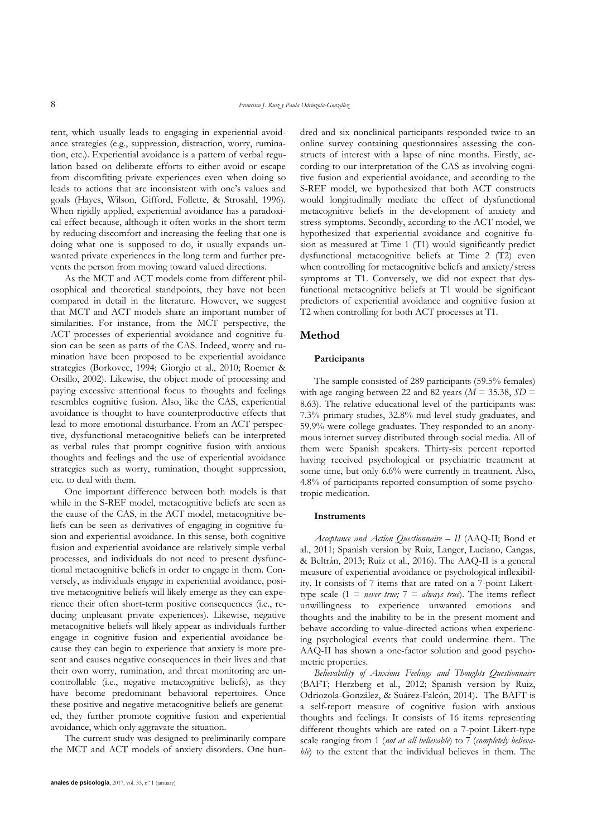tent, which usually leads to engaging in experiential avoidance strategies (e.g., suppression, distraction, worry, rumination, etc.). Experiential avoidance is a pattern of verbal regulation based on deliberate efforts to either avoid or escape from discomfiting private experiences even when doing so leads to actions that are inconsistent with one's values and goals (Hayes, Wilson, Gifford, Follette, & Strosahl, 1996). When rigidly applied, experiential avoidance has a paradoxical effect because, although it often works in the short term by reducing discomfort and increasing the feeling that one is doing what one is supposed to do, it usually expands unwanted private experiences in the long term and further prevents the person from moving toward valued directions.

As the MCT and ACT models come from different philosophical and theoretical standpoints, they have not been compared in detail in the literature. However, we suggest that MCT and ACT models share an important number of similarities. For instance, from the MCT perspective, the ACT processes of experiential avoidance and cognitive fusion can be seen as parts of the CAS. Indeed, worry and rumination have been proposed to be experiential avoidance strategies (Borkovec, 1994; Giorgio et al., 2010; Roemer & Orsillo, 2002). Likewise, the object mode of processing and paying excessive attentional focus to thoughts and feelings resembles cognitive fusion. Also, like the CAS, experiential avoidance is thought to have counterproductive effects that lead to more emotional disturbance. From an ACT perspective, dysfunctional metacognitive beliefs can be interpreted as verbal rules that prompt cognitive fusion with anxious thoughts and feelings and the use of experiential avoidance strategies such as worry, rumination, thought suppression, etc. to deal with them.

One important difference between both models is that while in the S-REF model, metacognitive beliefs are seen as the cause of the CAS, in the ACT model, metacognitive beliefs can be seen as derivatives of engaging in cognitive fusion and experiential avoidance. In this sense, both cognitive fusion and experiential avoidance are relatively simple verbal processes, and individuals do not need to present dysfunctional metacognitive beliefs in order to engage in them. Conversely, as individuals engage in experiential avoidance, positive metacognitive beliefs will likely emerge as they can experience their often short-term positive consequences (i.e., reducing unpleasant private experiences). Likewise, negative metacognitive beliefs will likely appear as individuals further engage in cognitive fusion and experiential avoidance because they can begin to experience that anxiety is more present and causes negative consequences in their lives and that their own worry, rumination, and threat monitoring are uncontrollable (i.e., negative metacognitive beliefs), as they have become predominant behavioral repertoires. Once these positive and negative metacognitive beliefs are generated, they further promote cognitive fusion and experiential avoidance, which only aggravate the situation.

The current study was designed to preliminarily compare the MCT and ACT models of anxiety disorders. One hundred and six nonclinical participants responded twice to an online survey containing questionnaires assessing the constructs of interest with a lapse of nine months. Firstly, according to our interpretation of the CAS as involving cognitive fusion and experiential avoidance, and according to the S-REF model, we hypothesized that both ACT constructs would longitudinally mediate the effect of dysfunctional metacognitive beliefs in the development of anxiety and stress symptoms. Secondly, according to the ACT model, we hypothesized that experiential avoidance and cognitive fusion as measured at Time 1 (T1) would significantly predict dysfunctional metacognitive beliefs at Time 2 (T2) even when controlling for metacognitive beliefs and anxiety/stress symptoms at T1. Conversely, we did not expect that dysfunctional metacognitive beliefs at T1 would be significant predictors of experiential avoidance and cognitive fusion at T2 when controlling for both ACT processes at T1.

## **Method**

#### **Participants**

The sample consisted of 289 participants (59.5% females) with age ranging between 22 and 82 years ( $M = 35.38$ ,  $SD =$ 8.63). The relative educational level of the participants was: 7.3% primary studies, 32.8% mid-level study graduates, and 59.9% were college graduates. They responded to an anonymous internet survey distributed through social media. All of them were Spanish speakers. Thirty-six percent reported having received psychological or psychiatric treatment at some time, but only 6.6% were currently in treatment. Also, 4.8% of participants reported consumption of some psychotropic medication.

#### **Instruments**

*Acceptance and Action Questionnaire – II* (AAQ-II; Bond et al., 2011; Spanish version by Ruiz, Langer, Luciano, Cangas, & Beltrán, 2013; Ruiz et al., 2016). The AAQ-II is a general measure of experiential avoidance or psychological inflexibility. It consists of 7 items that are rated on a 7-point Likerttype scale (1 = *never true;* 7 = *always true*). The items reflect unwillingness to experience unwanted emotions and thoughts and the inability to be in the present moment and behave according to value-directed actions when experiencing psychological events that could undermine them. The AAQ-II has shown a one-factor solution and good psychometric properties.

*Believability of Anxious Feelings and Thoughts Questionnaire* (BAFT; Herzberg et al., 2012; Spanish version by Ruiz, Odriozola-González, & Suárez-Falcón, 2014)**.** The BAFT is a self-report measure of cognitive fusion with anxious thoughts and feelings. It consists of 16 items representing different thoughts which are rated on a 7-point Likert-type scale ranging from 1 (*not at all believable*) to 7 (*completely believable*) to the extent that the individual believes in them. The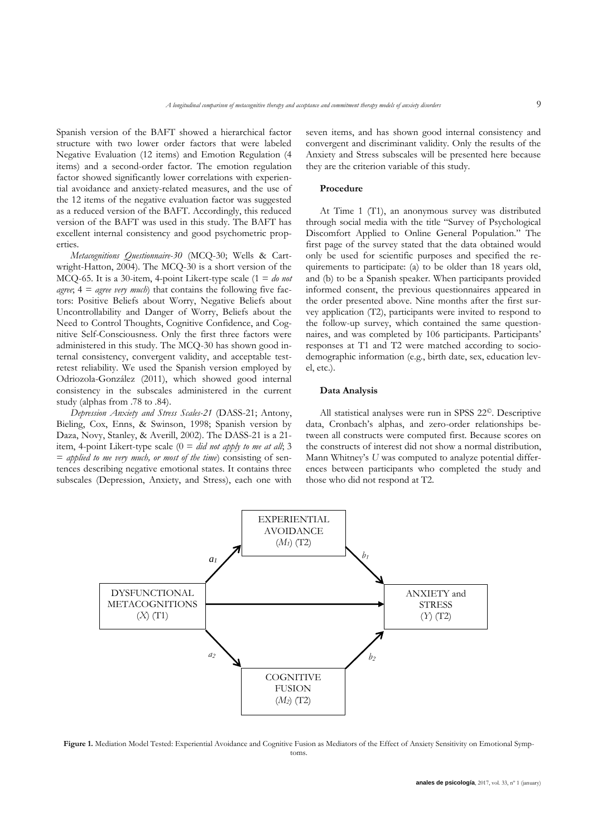Spanish version of the BAFT showed a hierarchical factor structure with two lower order factors that were labeled Negative Evaluation (12 items) and Emotion Regulation (4 items) and a second-order factor. The emotion regulation factor showed significantly lower correlations with experiential avoidance and anxiety-related measures, and the use of the 12 items of the negative evaluation factor was suggested as a reduced version of the BAFT. Accordingly, this reduced version of the BAFT was used in this study. The BAFT has excellent internal consistency and good psychometric properties.

*Metacognitions Questionnaire-30* (MCQ-30; Wells & Cartwright-Hatton, 2004). The MCQ-30 is a short version of the MCQ-65. It is a 30-item, 4-point Likert-type scale (1 = *do not agree*;  $4 = \text{agree very much}$  that contains the following five factors: Positive Beliefs about Worry, Negative Beliefs about Uncontrollability and Danger of Worry, Beliefs about the Need to Control Thoughts, Cognitive Confidence, and Cognitive Self-Consciousness. Only the first three factors were administered in this study. The MCQ-30 has shown good internal consistency, convergent validity, and acceptable testretest reliability. We used the Spanish version employed by Odriozola-González (2011), which showed good internal consistency in the subscales administered in the current study (alphas from .78 to .84).

*Depression Anxiety and Stress Scales-21* (DASS-21; Antony, Bieling, Cox, Enns, & Swinson, 1998; Spanish version by Daza, Novy, Stanley, & Averill, 2002). The DASS-21 is a 21 item, 4-point Likert-type scale (0 = *did not apply to me at all*; 3 = *applied to me very much, or most of the time*) consisting of sentences describing negative emotional states. It contains three subscales (Depression, Anxiety, and Stress), each one with seven items, and has shown good internal consistency and convergent and discriminant validity. Only the results of the Anxiety and Stress subscales will be presented here because they are the criterion variable of this study.

#### **Procedure**

At Time 1 (T1), an anonymous survey was distributed through social media with the title "Survey of Psychological Discomfort Applied to Online General Population." The first page of the survey stated that the data obtained would only be used for scientific purposes and specified the requirements to participate: (a) to be older than 18 years old, and (b) to be a Spanish speaker. When participants provided informed consent, the previous questionnaires appeared in the order presented above. Nine months after the first survey application (T2), participants were invited to respond to the follow-up survey, which contained the same questionnaires, and was completed by 106 participants. Participants' responses at T1 and T2 were matched according to sociodemographic information (e.g., birth date, sex, education level, etc.).

#### **Data Analysis**

All statistical analyses were run in SPSS 22©. Descriptive data, Cronbach's alphas, and zero-order relationships between all constructs were computed first. Because scores on the constructs of interest did not show a normal distribution, Mann Whitney's *U* was computed to analyze potential differences between participants who completed the study and those who did not respond at T2.



Figure 1. Mediation Model Tested: Experiential Avoidance and Cognitive Fusion as Mediators of the Effect of Anxiety Sensitivity on Emotional Symptoms.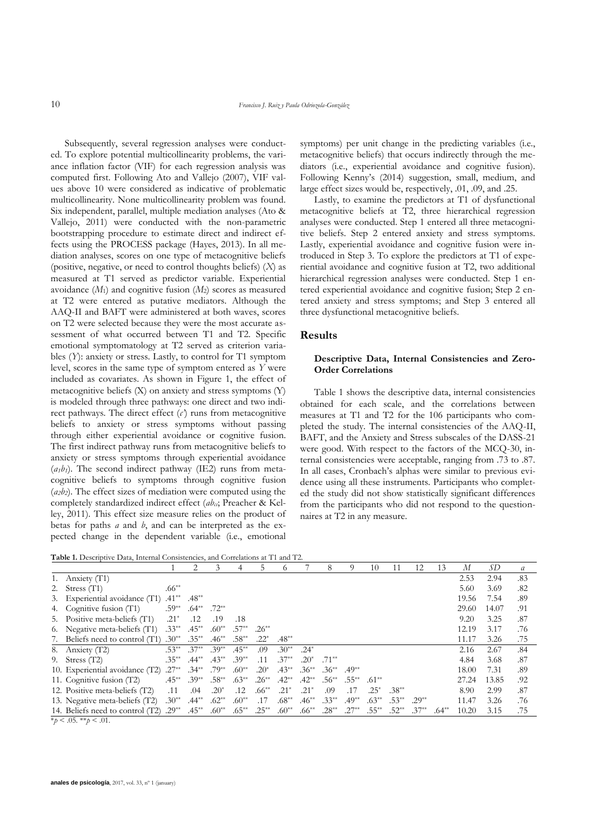Subsequently, several regression analyses were conducted. To explore potential multicollinearity problems, the variance inflation factor (VIF) for each regression analysis was computed first. Following Ato and Vallejo (2007), VIF values above 10 were considered as indicative of problematic multicollinearity. None multicollinearity problem was found. Six independent, parallel, multiple mediation analyses (Ato & Vallejo, 2011) were conducted with the non-parametric bootstrapping procedure to estimate direct and indirect effects using the PROCESS package (Hayes, 2013). In all mediation analyses, scores on one type of metacognitive beliefs (positive, negative, or need to control thoughts beliefs) (*X*) as measured at T1 served as predictor variable. Experiential avoidance (*M*1) and cognitive fusion (*M*2) scores as measured at T2 were entered as putative mediators. Although the AAQ-II and BAFT were administered at both waves, scores on T2 were selected because they were the most accurate assessment of what occurred between T1 and T2. Specific emotional symptomatology at T2 served as criterion variables (*Y*): anxiety or stress. Lastly, to control for T1 symptom level, scores in the same type of symptom entered as *Y* were included as covariates. As shown in Figure 1, the effect of metacognitive beliefs (X) on anxiety and stress symptoms (Y) is modeled through three pathways: one direct and two indirect pathways. The direct effect  $(c)$  runs from metacognitive beliefs to anxiety or stress symptoms without passing through either experiential avoidance or cognitive fusion. The first indirect pathway runs from metacognitive beliefs to anxiety or stress symptoms through experiential avoidance  $(a_1b_1)$ . The second indirect pathway (IE2) runs from metacognitive beliefs to symptoms through cognitive fusion  $(a_2b_2)$ . The effect sizes of mediation were computed using the completely standardized indirect effect (*abcs*; Preacher & Kelley, 2011). This effect size measure relies on the product of betas for paths *a* and *b*, and can be interpreted as the expected change in the dependent variable (i.e., emotional

symptoms) per unit change in the predicting variables (i.e., metacognitive beliefs) that occurs indirectly through the mediators (i.e., experiential avoidance and cognitive fusion). Following Kenny's (2014) suggestion, small, medium, and large effect sizes would be, respectively, .01, .09, and .25.

Lastly, to examine the predictors at T1 of dysfunctional metacognitive beliefs at T2, three hierarchical regression analyses were conducted. Step 1 entered all three metacognitive beliefs. Step 2 entered anxiety and stress symptoms. Lastly, experiential avoidance and cognitive fusion were introduced in Step 3. To explore the predictors at T1 of experiential avoidance and cognitive fusion at T2, two additional hierarchical regression analyses were conducted. Step 1 entered experiential avoidance and cognitive fusion; Step 2 entered anxiety and stress symptoms; and Step 3 entered all three dysfunctional metacognitive beliefs.

#### **Results**

#### **Descriptive Data, Internal Consistencies and Zero-Order Correlations**

Table 1 shows the descriptive data, internal consistencies obtained for each scale, and the correlations between measures at T1 and T2 for the 106 participants who completed the study. The internal consistencies of the AAQ-II, BAFT, and the Anxiety and Stress subscales of the DASS-21 were good. With respect to the factors of the MCQ-30, internal consistencies were acceptable, ranging from .73 to .87. In all cases, Cronbach's alphas were similar to previous evidence using all these instruments. Participants who completed the study did not show statistically significant differences from the participants who did not respond to the questionnaires at T2 in any measure.

**Table 1.** Descriptive Data, Internal Consistencies, and Correlations at T1 and T2.

| <b>Table 1.</b> Descriptive Data, International Consistencies, and Contenations at 11 and 12. |          |         |            |          |         |         |         |         |         |         |         |         |         |       |       |     |
|-----------------------------------------------------------------------------------------------|----------|---------|------------|----------|---------|---------|---------|---------|---------|---------|---------|---------|---------|-------|-------|-----|
|                                                                                               |          | 2       | 3          | 4        |         | 6       |         | 8       | 9       | 10      | 11      | 12      | 13      | М     | SD    | a   |
| 1. Anxiety $(T1)$                                                                             |          |         |            |          |         |         |         |         |         |         |         |         |         | 2.53  | 2.94  | .83 |
| Stress $(T1)$                                                                                 | $.66**$  |         |            |          |         |         |         |         |         |         |         |         |         | 5.60  | 3.69  | .82 |
| 3. Experiential avoidance (T1)                                                                | $.41***$ | $.48**$ |            |          |         |         |         |         |         |         |         |         |         | 19.56 | 7.54  | .89 |
| 4. Cognitive fusion (T1)                                                                      | .59**    | $.64**$ | $.72**$    |          |         |         |         |         |         |         |         |         |         | 29.60 | 14.07 | .91 |
| 5. Positive meta-beliefs (T1)                                                                 | $.21*$   | .12     | .19        | .18      |         |         |         |         |         |         |         |         |         | 9.20  | 3.25  | .87 |
| 6. Negative meta-beliefs (T1)                                                                 | $.33**$  | $.45**$ | $.60**$    | $.57**$  | $.26**$ |         |         |         |         |         |         |         |         | 12.19 | 3.17  | .76 |
| 7. Beliefs need to control (T1)                                                               | $.30**$  | $.35^*$ | $.46^{**}$ | $.58**$  | $.22*$  | $.48**$ |         |         |         |         |         |         |         | 11.17 | 3.26  | .75 |
| 8. Anxiety (T2)                                                                               | $.53**$  | $.37**$ | $.39**$    | $.45**$  | .09     | $.30**$ | $.24*$  |         |         |         |         |         |         | 2.16  | 2.67  | .84 |
| 9. Stress $(T2)$                                                                              | $.35**$  | $.44**$ | $.43**$    | $.39**$  | .11     | $.37**$ | $.20*$  | $.71**$ |         |         |         |         |         | 4.84  | 3.68  | .87 |
| 10. Experiential avoidance (T2)                                                               | $.27**$  | $.34**$ | $.79**$    | $.60**$  | $.20*$  | $.43**$ | $.36**$ | $.36**$ | $.49**$ |         |         |         |         | 18.00 | 7.31  | .89 |
| 11. Cognitive fusion (T2)                                                                     | .45**    | $.39**$ | $.58**$    | $.63**$  | $.26**$ | $.42**$ | $.42**$ | $.56**$ | $.55**$ | $.61**$ |         |         |         | 27.24 | 13.85 | .92 |
| 12. Positive meta-beliefs (T2)                                                                | .11      | .04     | $.20*$     | .12      | $.66**$ | $.21*$  | $.21*$  | .09     | .17     | $.25*$  | $.38**$ |         |         | 8.90  | 2.99  | .87 |
| 13. Negative meta-beliefs (T2)                                                                | $.30**$  | $.44*$  | $.62**$    | $.60**$  | .17     | $.68**$ | $.46**$ | $.33**$ | $.49**$ | $.63**$ | .53**   | $.29**$ |         | 11.47 | 3.26  | .76 |
| 14. Beliefs need to control (T2)                                                              | $.29**$  | $.45**$ | $.60**$    | $.65***$ | $.25**$ | $.60**$ | $.66**$ | $.28**$ | $.27**$ | $.55**$ | $.52**$ | $.37**$ | $.64**$ | 10.20 | 3.15  | .75 |
| * $p < .05$ . ** $p < .01$ .                                                                  |          |         |            |          |         |         |         |         |         |         |         |         |         |       |       |     |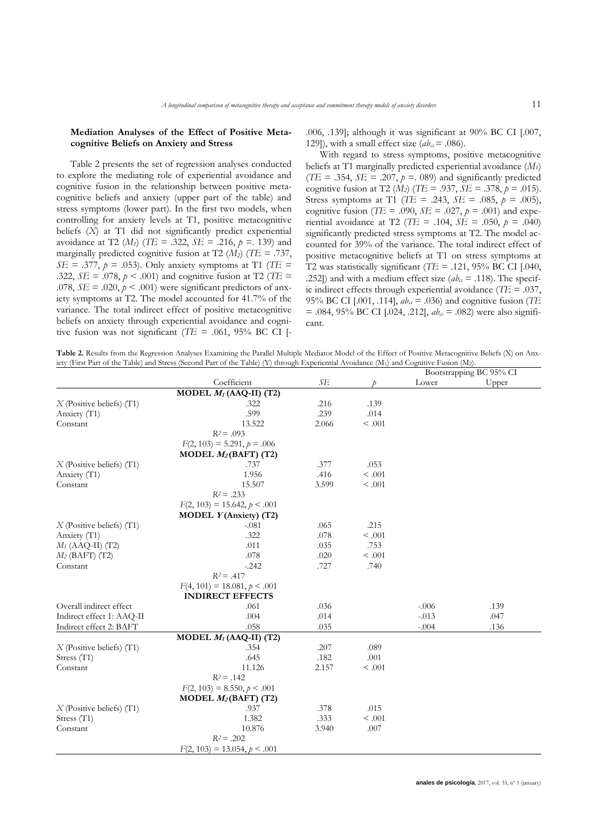#### **Mediation Analyses of the Effect of Positive Metacognitive Beliefs on Anxiety and Stress**

Table 2 presents the set of regression analyses conducted to explore the mediating role of experiential avoidance and cognitive fusion in the relationship between positive metacognitive beliefs and anxiety (upper part of the table) and stress symptoms (lower part). In the first two models, when controlling for anxiety levels at T1, positive metacognitive beliefs (*X*) at T1 did not significantly predict experiential avoidance at T2 (*M1*) (*TE* = .322, *SE* = .216, *p* =. 139) and marginally predicted cognitive fusion at T2 (*M2*) (*TE* = .737, *SE* = .377,  $p = .053$ ). Only anxiety symptoms at T1 (*TE* = .322, *SE* = .078,  $p < .001$ ) and cognitive fusion at T2 (*TE* = .078,  $SE = .020$ ,  $p < .001$ ) were significant predictors of anxiety symptoms at T2. The model accounted for 41.7% of the variance. The total indirect effect of positive metacognitive beliefs on anxiety through experiential avoidance and cognitive fusion was not significant (*TE* = .061, 95% BC CI [- .006, .139]; although it was significant at 90% BC CI [.007, 129]), with a small effect size  $(ab<sub>o</sub> = .086)$ .

With regard to stress symptoms, positive metacognitive beliefs at T1 marginally predicted experiential avoidance (*M1*) ( $TE = .354$ ,  $SE = .207$ ,  $p = .089$ ) and significantly predicted cognitive fusion at T2 ( $M_2$ ) (*TE* = .937, *SE* = .378, *p* = .015). Stress symptoms at T1 (*TE* = .243, *SE* = .085, *p* = .005), cognitive fusion (*TE* = .090, *SE* = .027,  $p = .001$ ) and experiential avoidance at T2 (*TE* = .104, *SE* = .050, *p* = .040) significantly predicted stress symptoms at T2. The model accounted for 39% of the variance. The total indirect effect of positive metacognitive beliefs at T1 on stress symptoms at T2 was statistically significant ( $TE = .121, 95\%$  BC CI [.040, .252]) and with a medium effect size ( $ab<sub>c</sub> = .118$ ). The specific indirect effects through experiential avoidance (*TE* = .037, 95% BC CI [.001, .114], *abcs* = .036) and cognitive fusion (*TE*  $= .084, 95\%$  BC CI [.024, .212],  $ab<sub>g</sub> = .082$  were also significant.

**Table 2.** Results from the Regression Analyses Examining the Parallel Multiple Mediator Model of the Effect of Positive Metacognitive Beliefs (X) on Anxiety (First Part of the Table) and Stress (Second Part of the Table) (Y) through Experiential Avoidance (M1) and Cognitive Fusion (M2).

|                             |                                                            |              |        |         | Bootstrapping BC 95% CI |
|-----------------------------|------------------------------------------------------------|--------------|--------|---------|-------------------------|
|                             | Coefficient                                                | SE           |        | Lower   | Upper                   |
|                             | MODEL $M_1$ (AAQ-II) (T2)                                  |              |        |         |                         |
| $X$ (Positive beliefs) (T1) | .322                                                       | .216         | .139   |         |                         |
| Anxiety (T1)                | .599                                                       | .239         | .014   |         |                         |
| Constant                    | 13.522                                                     | 2.066        | < .001 |         |                         |
|                             | $R^2 = .093$                                               |              |        |         |                         |
|                             | $F(2, 103) = 5.291, p = .006$<br>MODEL $M_2$ (BAFT) (T2)   |              |        |         |                         |
| $X$ (Positive beliefs) (T1) | .737                                                       | .377         | .053   |         |                         |
|                             | 1.956                                                      |              |        |         |                         |
| Anxiety (T1)                |                                                            | .416         | < .001 |         |                         |
| Constant                    | 15.507                                                     | 3.599        | < .001 |         |                         |
|                             | $R^2 = .233$                                               |              |        |         |                         |
|                             | $F(2, 103) = 15.642, p < .001$<br>MODEL $Y$ (Anxiety) (T2) |              |        |         |                         |
| $X$ (Positive beliefs) (T1) | $-.081$                                                    | .065         | .215   |         |                         |
| Anxiety (T1)                | .322                                                       | .078         | < .001 |         |                         |
|                             | .011                                                       |              |        |         |                         |
| $M_1$ (AAQ-II) (T2)         | .078                                                       | .035         | .753   |         |                         |
| $M_2$ (BAFT) (T2)           | $-.242$                                                    | .020<br>.727 | < .001 |         |                         |
| Constant                    | $R^2 = .417$                                               |              | .740   |         |                         |
|                             | $F(4, 101) = 18.081, p < .001$                             |              |        |         |                         |
|                             | <b>INDIRECT EFFECTS</b>                                    |              |        |         |                         |
| Overall indirect effect     | .061                                                       | .036         |        | $-.006$ | .139                    |
| Indirect effect 1: AAQ-II   | .004                                                       | .014         |        | $-.013$ | .047                    |
| Indirect effect 2: BAFT     | .058                                                       | .035         |        | $-.004$ | .136                    |
|                             | MODEL $M_1$ (AAQ-II) (T2)                                  |              |        |         |                         |
| $X$ (Positive beliefs) (T1) | .354                                                       | .207         | .089   |         |                         |
| Stress (T1)                 | .645                                                       | .182         | .001   |         |                         |
| Constant                    | 11.126                                                     | 2.157        | < .001 |         |                         |
|                             | $R^2 = .142$                                               |              |        |         |                         |
|                             | $F(2, 103) = 8.550, p < .001$                              |              |        |         |                         |
|                             | MODEL $M_2$ (BAFT) (T2)                                    |              |        |         |                         |
| $X$ (Positive beliefs) (T1) | .937                                                       | .378         | .015   |         |                         |
| Stress (T1)                 | 1.382                                                      | .333         | < .001 |         |                         |
| Constant                    | 10.876<br>$R^2 = .202$                                     | 3.940        | .007   |         |                         |
|                             | $F(2, 103) = 13.054, p \leq .001$                          |              |        |         |                         |
|                             |                                                            |              |        |         |                         |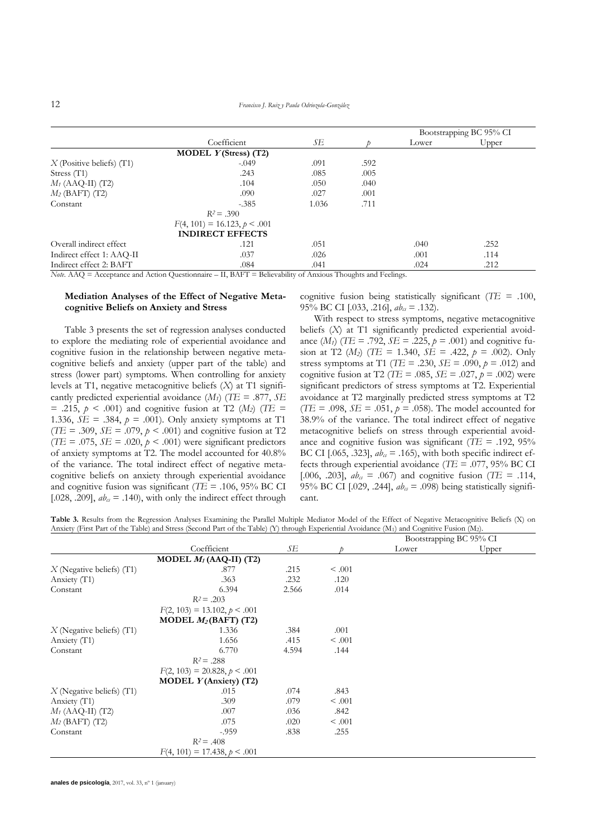|                             |                                |       |      |                               | Bootstrapping BC 95% CI |
|-----------------------------|--------------------------------|-------|------|-------------------------------|-------------------------|
|                             | Coefficient                    | SЕ    |      | Lower<br>.040<br>.001<br>.024 | Upper                   |
|                             | MODEL $Y$ (Stress) (T2)        |       |      |                               |                         |
| $X$ (Positive beliefs) (T1) | $-.049$                        | .091  | .592 |                               |                         |
| Stress $(T1)$               | .243                           | .085  | .005 |                               |                         |
| $M_1$ (AAQ-II) (T2)         | .104                           | .050  | .040 |                               |                         |
| $M_2$ (BAFT) (T2)           | .090                           | .027  | .001 |                               |                         |
| Constant                    | $-.385$                        | 1.036 | .711 |                               |                         |
|                             | $R^2 = .390$                   |       |      |                               |                         |
|                             | $F(4, 101) = 16.123, p < .001$ |       |      |                               |                         |
|                             | <b>INDIRECT EFFECTS</b>        |       |      |                               |                         |
| Overall indirect effect     | .121                           | .051  |      |                               | .252                    |
| Indirect effect 1: AAQ-II   | .037                           | .026  |      |                               | .114                    |
| Indirect effect 2: BAFT     | .084                           | .041  |      |                               | .212                    |

*Note.* AAQ = Acceptance and Action Questionnaire – II, BAFT = Believability of Anxious Thoughts and Feelings.

## **Mediation Analyses of the Effect of Negative Metacognitive Beliefs on Anxiety and Stress**

cognitive fusion being statistically significant (*TE* = .100, 95% BC CI [.033, .216], *abcs* = .132).

Table 3 presents the set of regression analyses conducted to explore the mediating role of experiential avoidance and cognitive fusion in the relationship between negative metacognitive beliefs and anxiety (upper part of the table) and stress (lower part) symptoms. When controlling for anxiety levels at T1, negative metacognitive beliefs (*X*) at T1 significantly predicted experiential avoidance (*M1*) (*TE* = .877, *SE*  $=$  .215,  $p \leq .001$ ) and cognitive fusion at T2 ( $M_2$ ) (TE = 1.336, *SE* = .384, *p* = .001). Only anxiety symptoms at T1 (*TE* = .309, *SE* = .079,  $p < .001$ ) and cognitive fusion at T2 ( $TE = .075$ ,  $SE = .020$ ,  $p < .001$ ) were significant predictors of anxiety symptoms at T2. The model accounted for 40.8% of the variance. The total indirect effect of negative metacognitive beliefs on anxiety through experiential avoidance and cognitive fusion was significant (*TE* = .106, 95% BC CI [.028, .209],  $ab_{\alpha} = .140$ , with only the indirect effect through

With respect to stress symptoms, negative metacognitive beliefs (*X*) at T1 significantly predicted experiential avoidance  $(M<sub>1</sub>)$  (*TE* = .792, *SE* = .225,  $p = .001$ ) and cognitive fusion at T2  $(M_2)$  (*TE* = 1.340, *SE* = .422,  $p = .002$ ). Only stress symptoms at T1 (*TE* = .230, *SE* = .090, *p* = .012) and cognitive fusion at T2 (*TE* = .085, *SE* = .027,  $p = .002$ ) were significant predictors of stress symptoms at T2. Experiential avoidance at T2 marginally predicted stress symptoms at T2 (*TE* = .098, *SE* = .051,  $p = .058$ ). The model accounted for 38.9% of the variance. The total indirect effect of negative metacognitive beliefs on stress through experiential avoidance and cognitive fusion was significant (*TE* = .192, 95% BC CI [.065, .323],  $ab<sub>cs</sub> = .165$ ), with both specific indirect effects through experiential avoidance (*TE* = .077, 95% BC CI [.006, .203], *abcs* = .067) and cognitive fusion (*TE* = .114, 95% BC CI [.029, .244], *abcs* = .098) being statistically significant.

Table 3. Results from the Regression Analyses Examining the Parallel Multiple Mediator Model of the Effect of Negative Metacognitive Beliefs (X) on Anxiety (First Part of the Table) and Stress (Second Part of the Table) (Y) through Experiential Avoidance (M1) and Cognitive Fusion (M2).

|                             |                                  |       |         |       | Bootstrapping BC 95% CI |
|-----------------------------|----------------------------------|-------|---------|-------|-------------------------|
|                             | Coefficient                      | SЕ    |         | Lower | Upper                   |
|                             | MODEL $M_1$ (AAQ-II) (T2)        |       |         |       |                         |
| $X$ (Negative beliefs) (T1) | .877                             | .215  | < 0.001 |       |                         |
| Anxiety $(T1)$              | .363                             | .232  | .120    |       |                         |
| Constant                    | 6.394                            | 2.566 | .014    |       |                         |
|                             | $R^2 = .203$                     |       |         |       |                         |
|                             | $F(2, 103) = 13.102, p \le .001$ |       |         |       |                         |
|                             | MODEL $M_2$ (BAFT) (T2)          |       |         |       |                         |
| $X$ (Negative beliefs) (T1) | 1.336                            | .384  | .001    |       |                         |
| Anxiety (T1)                | 1.656                            | .415  | < 0.001 |       |                         |
| Constant                    | 6.770                            | 4.594 | .144    |       |                         |
|                             | $R^2 = .288$                     |       |         |       |                         |
|                             | $F(2, 103) = 20.828, p < .001$   |       |         |       |                         |
|                             | MODEL $Y($ Anxiety $)$ (T2)      |       |         |       |                         |
| $X$ (Negative beliefs) (T1) | .015                             | .074  | .843    |       |                         |
| Anxiety $(T1)$              | .309                             | .079  | < 0.001 |       |                         |
| $M_1$ (AAQ-II) (T2)         | .007                             | .036  | .842    |       |                         |
| $M_2$ (BAFT) (T2)           | .075                             | .020  | < 0.001 |       |                         |
| Constant                    | $-.959$                          | .838  | .255    |       |                         |
|                             | $R^2 = .408$                     |       |         |       |                         |
|                             | $F(4, 101) = 17.438, p < .001$   |       |         |       |                         |

**anales de psicología**, 2017, vol. 33, nº 1 (january)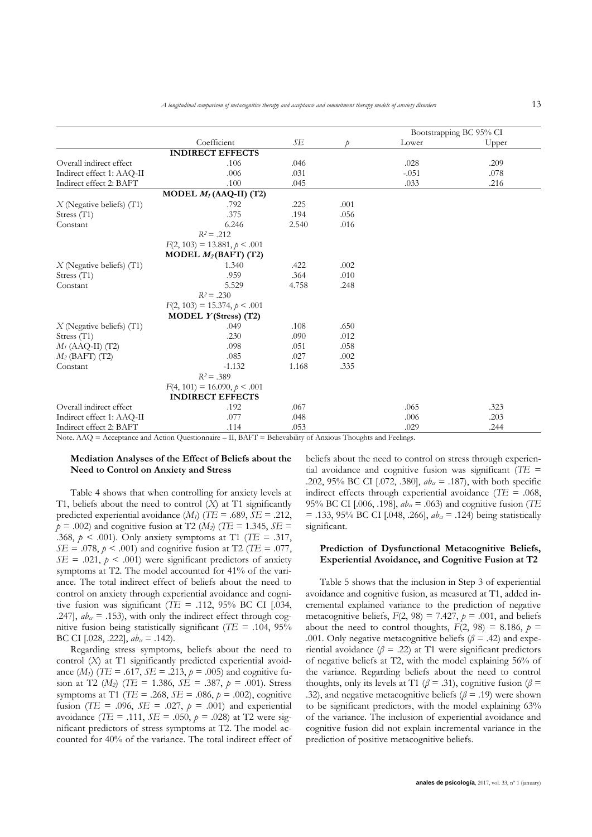|                             |                                                                                                                                                                                             |       |      |         | Bootstrapping BC 95% CI |
|-----------------------------|---------------------------------------------------------------------------------------------------------------------------------------------------------------------------------------------|-------|------|---------|-------------------------|
|                             | Coefficient                                                                                                                                                                                 | SE    |      | Lower   | Upper                   |
|                             | <b>INDIRECT EFFECTS</b>                                                                                                                                                                     |       |      |         |                         |
| Overall indirect effect     | .106                                                                                                                                                                                        | .046  |      | .028    | .209                    |
| Indirect effect 1: AAQ-II   | .006                                                                                                                                                                                        | .031  |      | $-.051$ | .078                    |
| Indirect effect 2: BAFT     | .100                                                                                                                                                                                        | .045  |      | .033    | .216                    |
|                             | MODEL $M_1$ (AAQ-II) (T2)                                                                                                                                                                   |       |      |         |                         |
| $X$ (Negative beliefs) (T1) | .792                                                                                                                                                                                        | .225  | .001 |         |                         |
| Stress (T1)                 | .375                                                                                                                                                                                        | .194  | .056 |         |                         |
| Constant                    | 6.246                                                                                                                                                                                       | 2.540 | .016 |         |                         |
|                             | $R^2 = .212$                                                                                                                                                                                |       |      |         |                         |
|                             | $F(2, 103) = 13.881, p \le .001$                                                                                                                                                            |       |      |         |                         |
|                             | MODEL $M_2$ (BAFT) (T2)                                                                                                                                                                     |       |      |         |                         |
| $X$ (Negative beliefs) (T1) | 1.340                                                                                                                                                                                       | .422  | .002 |         |                         |
| Stress $(T1)$               | .959                                                                                                                                                                                        | .364  | .010 |         |                         |
| Constant                    | 5.529                                                                                                                                                                                       | 4.758 | .248 |         |                         |
|                             | $R^2 = .230$                                                                                                                                                                                |       |      |         |                         |
|                             | $F(2, 103) = 15.374, p \leq .001$                                                                                                                                                           |       |      |         |                         |
|                             | MODEL $Y$ (Stress) (T2)                                                                                                                                                                     |       |      |         |                         |
| $X$ (Negative beliefs) (T1) | .049                                                                                                                                                                                        | .108  | .650 |         |                         |
| Stress $(T1)$               | .230                                                                                                                                                                                        | .090  | .012 |         |                         |
| $M_1$ (AAQ-II) (T2)         | .098                                                                                                                                                                                        | .051  | .058 |         |                         |
| $M_2$ (BAFT) (T2)           | .085                                                                                                                                                                                        | .027  | .002 |         |                         |
| Constant                    | $-1.132$                                                                                                                                                                                    | 1.168 | .335 |         |                         |
|                             | $R^2 = .389$                                                                                                                                                                                |       |      |         |                         |
|                             | $F(4, 101) = 16.090, p < .001$                                                                                                                                                              |       |      |         |                         |
|                             | <b>INDIRECT EFFECTS</b>                                                                                                                                                                     |       |      |         |                         |
| Overall indirect effect     | .192                                                                                                                                                                                        | .067  |      | .065    | .323                    |
| Indirect effect 1: AAQ-II   | .077                                                                                                                                                                                        | .048  |      | .006    | .203                    |
| Indirect effect 2: BAFT     | .114<br>Note $\Lambda \Lambda \Omega = \Lambda$ geographics and $\Lambda$ given Overtigansing. II $\overline{DA}F\overline{T} = D_0$ is explicitly of $\Lambda$ gyigue Thoughts and Equippe | .053  |      | .029    | .244                    |

Note. AAQ = Acceptance and Action Questionnaire – II, BAFT = Believability of Anxious Thoughts and Feelings.

## **Mediation Analyses of the Effect of Beliefs about the Need to Control on Anxiety and Stress**

Table 4 shows that when controlling for anxiety levels at T1, beliefs about the need to control (*X*) at T1 significantly predicted experiential avoidance (*M1*) (*TE* = .689, *SE* = .212,  $p = .002$ ) and cognitive fusion at T2 (*M*<sub>2</sub>) (*TE* = 1.345, *SE* = .368, *p* < .001). Only anxiety symptoms at T1 (*TE* = .317, *SE* = .078,  $p < .001$ ) and cognitive fusion at T2 (*TE* = .077,  $SE = .021$ ,  $p < .001$ ) were significant predictors of anxiety symptoms at T2. The model accounted for 41% of the variance. The total indirect effect of beliefs about the need to control on anxiety through experiential avoidance and cognitive fusion was significant (*TE* = .112, 95% BC CI [.034, .247],  $ab_{cs} = .153$ , with only the indirect effect through cognitive fusion being statistically significant (*TE* = .104, 95% BC CI [.028, .222], *abcs* = .142).

Regarding stress symptoms, beliefs about the need to control (*X*) at T1 significantly predicted experiential avoidance  $(M_1)$  (TE = .617, *SE* = .213,  $p = .005$ ) and cognitive fusion at T2 (*M2*) (*TE* = 1.386, *SE* = .387, *p* = .001). Stress symptoms at T1 (*TE* = .268, *SE* = .086, *p* = .002), cognitive fusion (*TE* = .096,  $SE = .027$ ,  $p = .001$ ) and experiential avoidance (*TE* = .111, *SE* = .050, *p* = .028) at T2 were significant predictors of stress symptoms at T2. The model accounted for 40% of the variance. The total indirect effect of beliefs about the need to control on stress through experiential avoidance and cognitive fusion was significant (*TE* = .202, 95% BC CI [.072, .380], *abcs* = .187), with both specific indirect effects through experiential avoidance (*TE* = .068, 95% BC CI [.006, .198], *abcs* = .063) and cognitive fusion (*TE* = .133, 95% BC CI [.048, .266], *abcs* = .124) being statistically significant.

#### **Prediction of Dysfunctional Metacognitive Beliefs, Experiential Avoidance, and Cognitive Fusion at T2**

Table 5 shows that the inclusion in Step 3 of experiential avoidance and cognitive fusion, as measured at T1, added incremental explained variance to the prediction of negative metacognitive beliefs,  $F(2, 98) = 7.427$ ,  $p = .001$ , and beliefs about the need to control thoughts,  $F(2, 98) = 8.186$ ,  $p =$ .001. Only negative metacognitive beliefs ( $\beta$  = .42) and experiential avoidance ( $\beta$  = .22) at T1 were significant predictors of negative beliefs at T2, with the model explaining 56% of the variance. Regarding beliefs about the need to control thoughts, only its levels at T1 ( $\beta$  = .31), cognitive fusion ( $\beta$  = .32), and negative metacognitive beliefs ( $\beta$  = .19) were shown to be significant predictors, with the model explaining 63% of the variance. The inclusion of experiential avoidance and cognitive fusion did not explain incremental variance in the prediction of positive metacognitive beliefs.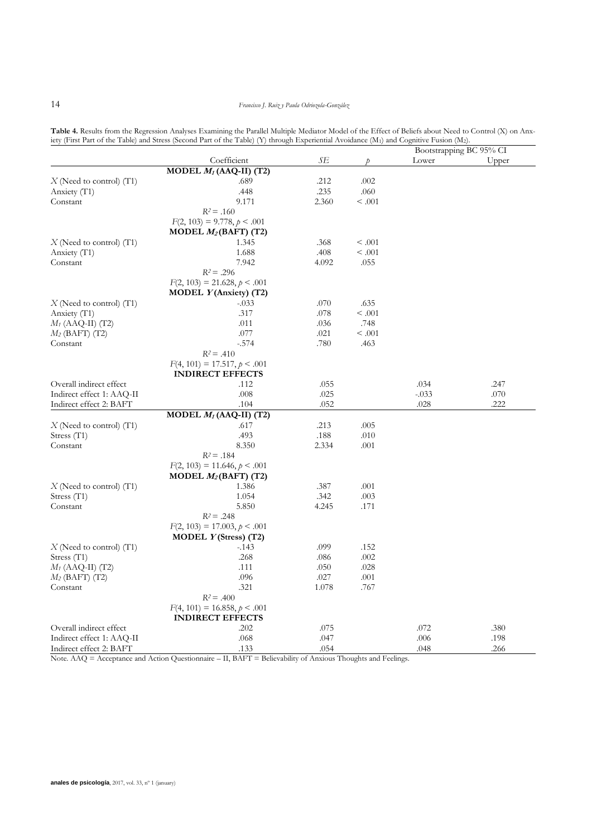14 *Francisco J. Ruiz y Paula Odriozola-González*

**Table 4.** Results from the Regression Analyses Examining the Parallel Multiple Mediator Model of the Effect of Beliefs about Need to Control (X) on Anxiety (First Part of the Table) and Stress (Second Part of the Table) (Y) through Experiential Avoidance (M1) and Cognitive Fusion (M2).

|                            |                                                           |       |         | Bootstrapping BC 95% CI |       |
|----------------------------|-----------------------------------------------------------|-------|---------|-------------------------|-------|
|                            | Coefficient                                               | SЕ    |         | Lower                   | Upper |
|                            | MODEL $M_1$ (AAQ-II) (T2)                                 |       |         |                         |       |
| $X$ (Need to control) (T1) | .689                                                      | .212  | .002    |                         |       |
| Anxiety (T1)               | .448                                                      | .235  | .060    |                         |       |
| Constant                   | 9.171                                                     | 2.360 | < .001  |                         |       |
|                            | $R^2 = .160$                                              |       |         |                         |       |
|                            | $F(2, 103) = 9.778, p \le .001$                           |       |         |                         |       |
|                            | MODEL $M_2$ (BAFT) (T2)                                   |       |         |                         |       |
| $X$ (Need to control) (T1) | 1.345                                                     | .368  | < .001  |                         |       |
| Anxiety (T1)               | 1.688                                                     | .408  | < .001  |                         |       |
| Constant                   | 7.942                                                     | 4.092 | .055    |                         |       |
|                            | $R^2 = .296$                                              |       |         |                         |       |
|                            | $F(2, 103) = 21.628, p \leq .001$                         |       |         |                         |       |
|                            | MODEL $Y($ Answer) (T2)                                   |       |         |                         |       |
| $X$ (Need to control) (T1) | -.033                                                     | .070  | .635    |                         |       |
| Anxiety (T1)               | .317                                                      | .078  | < 0.001 |                         |       |
| $M_1$ (AAQ-II) (T2)        | .011                                                      | .036  | .748    |                         |       |
| $M_2$ (BAFT) (T2)          | .077                                                      | .021  | < .001  |                         |       |
| Constant                   | $-.574$                                                   | .780  | .463    |                         |       |
|                            | $R^2 = .410$                                              |       |         |                         |       |
|                            | $F(4, 101) = 17.517, p \le 0.001$                         |       |         |                         |       |
|                            | <b>INDIRECT EFFECTS</b>                                   |       |         |                         |       |
| Overall indirect effect    | .112                                                      | .055  |         | .034                    | .247  |
| Indirect effect 1: AAQ-II  | .008                                                      | .025  |         | $-.033$                 | .070  |
| Indirect effect 2: BAFT    | .104                                                      | .052  |         | .028                    | .222  |
|                            | MODEL $M_1$ (AAQ-II) (T2)                                 |       |         |                         |       |
| $X$ (Need to control) (T1) | .617                                                      | .213  | .005    |                         |       |
| Stress (T1)                | .493                                                      | .188  | .010    |                         |       |
| Constant                   | 8.350                                                     | 2.334 | .001    |                         |       |
|                            | $R^2 = .184$                                              |       |         |                         |       |
|                            | $F(2, 103) = 11.646, p < .001$                            |       |         |                         |       |
|                            | MODEL $M_2(BAFT)$ (T2)                                    |       |         |                         |       |
| $X$ (Need to control) (T1) | 1.386                                                     | .387  | .001    |                         |       |
| Stress (T1)                | 1.054                                                     | .342  | .003    |                         |       |
| Constant                   | 5.850                                                     | 4.245 | .171    |                         |       |
|                            | $R^2 = .248$                                              |       |         |                         |       |
|                            | $F(2, 103) = 17.003, p < .001$<br>MODEL $Y$ (Stress) (T2) |       |         |                         |       |
| $X$ (Need to control) (T1) | $-143$                                                    | .099  | .152    |                         |       |
| Stress (T1)                | .268                                                      | .086  | .002    |                         |       |
| $M_1$ (AAQ-II) (T2)        | .111                                                      | .050  | .028    |                         |       |
| $M_2$ (BAFT) (T2)          | .096                                                      | .027  | .001    |                         |       |
| Constant                   | .321                                                      | 1.078 | .767    |                         |       |
|                            | $R^2 = .400$                                              |       |         |                         |       |
|                            | $F(4, 101) = 16.858, p < .001$                            |       |         |                         |       |
|                            | <b>INDIRECT EFFECTS</b>                                   |       |         |                         |       |
| Overall indirect effect    | .202                                                      | .075  |         | .072                    | .380  |
| Indirect effect 1: AAQ-II  | .068                                                      | .047  |         | .006                    | .198  |
| Indirect effect 2: BAFT    | .133                                                      | .054  |         | .048                    | .266  |

Note. AAQ = Acceptance and Action Questionnaire – II, BAFT = Believability of Anxious Thoughts and Feelings.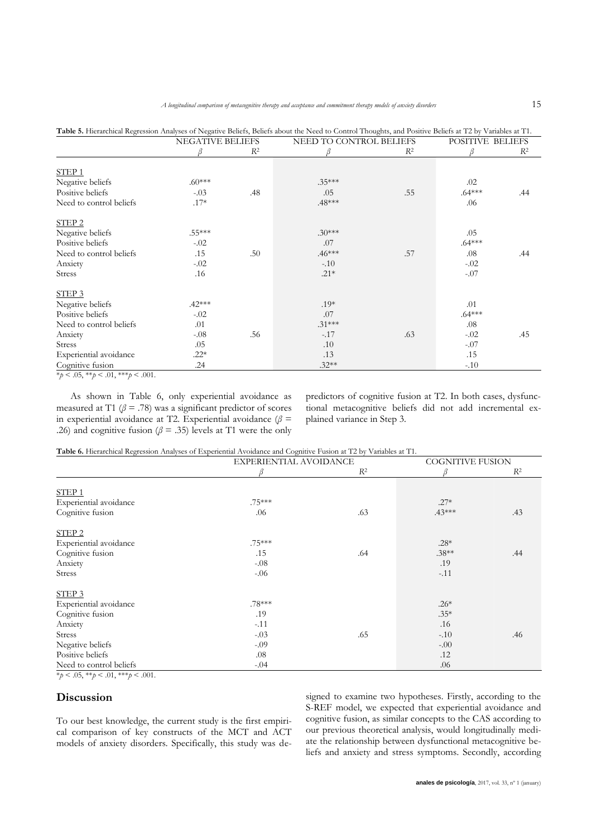| <b>Table 5.</b> FHEFALCINCAL REGUESSION ATTAINSES OF INEQUIVE DENETS, DENETS ADOUT THE INCELL TO CONTROL THOUGHTS, AND POSITIVE DENETS AT 12 DY VANADIES AT 11. |                         |       |                         |       |                  |       |
|-----------------------------------------------------------------------------------------------------------------------------------------------------------------|-------------------------|-------|-------------------------|-------|------------------|-------|
|                                                                                                                                                                 | <b>NEGATIVE BELIEFS</b> |       | NEED TO CONTROL BELIEFS |       | POSITIVE BELIEFS |       |
|                                                                                                                                                                 |                         | $R^2$ |                         | $R^2$ |                  | $R^2$ |
|                                                                                                                                                                 |                         |       |                         |       |                  |       |
| STEP <sub>1</sub>                                                                                                                                               |                         |       |                         |       |                  |       |
| Negative beliefs                                                                                                                                                | $.60***$                |       | $.35***$                |       | .02              |       |
| Positive beliefs                                                                                                                                                | $-.03$                  | .48   | .05                     | .55   | $.64***$         | .44   |
| Need to control beliefs                                                                                                                                         | $.17*$                  |       | .48***                  |       | .06              |       |
| STEP <sub>2</sub>                                                                                                                                               |                         |       |                         |       |                  |       |
| Negative beliefs                                                                                                                                                | .55***                  |       | $.30***$                |       | .05              |       |
| Positive beliefs                                                                                                                                                | $-.02$                  |       | .07                     |       | $.64***$         |       |
| Need to control beliefs                                                                                                                                         | .15                     | .50   | $.46***$                | .57   | .08              | .44   |
| Anxiety                                                                                                                                                         | $-.02$                  |       | $-.10$                  |       | $-.02$           |       |
| Stress                                                                                                                                                          | .16                     |       | $.21*$                  |       | $-.07$           |       |
| STEP 3                                                                                                                                                          |                         |       |                         |       |                  |       |
| Negative beliefs                                                                                                                                                | $.42***$                |       | $.19*$                  |       | .01              |       |
| Positive beliefs                                                                                                                                                | $-.02$                  |       | .07                     |       | $.64***$         |       |
| Need to control beliefs                                                                                                                                         | .01                     |       | $.31***$                |       | .08              |       |
| Anxiety                                                                                                                                                         | $-0.08$                 | .56   | $-.17$                  | .63   | $-.02$           | .45   |
| <b>Stress</b>                                                                                                                                                   | .05                     |       | .10                     |       | $-.07$           |       |
| Experiential avoidance                                                                                                                                          | $.22*$                  |       | .13                     |       | .15              |       |
| Cognitive fusion                                                                                                                                                | .24                     |       | $.32**$                 |       | $-.10$           |       |

**Table 5.** Hierarchical Regression Analyses of Negative Beliefs, Beliefs about the Need to Control Thoughts, and Positive Beliefs at T2 by Variables at T1.

 $*_{p} < .05, **_{p} < .01, **_{p} < .001.$ 

As shown in Table 6, only experiential avoidance as measured at T1 ( $\beta$  = .78) was a significant predictor of scores in experiential avoidance at T2. Experiential avoidance  $(\beta =$ .26) and cognitive fusion ( $\beta$  = .35) levels at T1 were the only predictors of cognitive fusion at T2. In both cases, dysfunctional metacognitive beliefs did not add incremental explained variance in Step 3.

|  |  | Table 6. Hierarchical Regression Analyses of Experiential Avoidance and Cognitive Fusion at T2 by Variables at T1. |  |  |  |
|--|--|--------------------------------------------------------------------------------------------------------------------|--|--|--|
|  |  |                                                                                                                    |  |  |  |
|  |  |                                                                                                                    |  |  |  |

| <b>Table 0.</b> Friefatchical Regression Analyses of Experiential Avoidance and Cognitive Fusion at 12 by Variables at 11. | EXPERIENTIAL AVOIDANCE |       | <b>COGNITIVE FUSION</b> |       |
|----------------------------------------------------------------------------------------------------------------------------|------------------------|-------|-------------------------|-------|
|                                                                                                                            |                        | $R^2$ |                         | $R^2$ |
| STEP <sub>1</sub>                                                                                                          |                        |       |                         |       |
| Experiential avoidance                                                                                                     | $.75***$               |       | $.27*$                  |       |
| Cognitive fusion                                                                                                           | .06                    | .63   | $.43***$                | .43   |
| STEP <sub>2</sub>                                                                                                          |                        |       |                         |       |
| Experiential avoidance                                                                                                     | $.75***$               |       | $.28*$                  |       |
| Cognitive fusion                                                                                                           | .15                    | .64   | $.38**$                 | .44   |
| Anxiety                                                                                                                    | $-.08$                 |       | .19                     |       |
| <b>Stress</b>                                                                                                              | $-0.06$                |       | $-.11$                  |       |
| STEP <sub>3</sub>                                                                                                          |                        |       |                         |       |
| Experiential avoidance                                                                                                     | .78***                 |       | $.26*$                  |       |
| Cognitive fusion                                                                                                           | .19                    |       | $.35*$                  |       |
| Anxiety                                                                                                                    | $-.11$                 |       | .16                     |       |
| <b>Stress</b>                                                                                                              | $-.03$                 | .65   | $-10$                   | .46   |
| Negative beliefs                                                                                                           | $-.09$                 |       | $-0.00$                 |       |
| Positive beliefs                                                                                                           | .08                    |       | .12                     |       |
| Need to control beliefs                                                                                                    | $-.04$                 |       | .06                     |       |

 $*_{p} < .05, **_{p} < .01,***_{p} < .001.$ 

## **Discussion**

To our best knowledge, the current study is the first empirical comparison of key constructs of the MCT and ACT models of anxiety disorders. Specifically, this study was de-

signed to examine two hypotheses. Firstly, according to the S-REF model, we expected that experiential avoidance and cognitive fusion, as similar concepts to the CAS according to our previous theoretical analysis, would longitudinally mediate the relationship between dysfunctional metacognitive beliefs and anxiety and stress symptoms. Secondly, according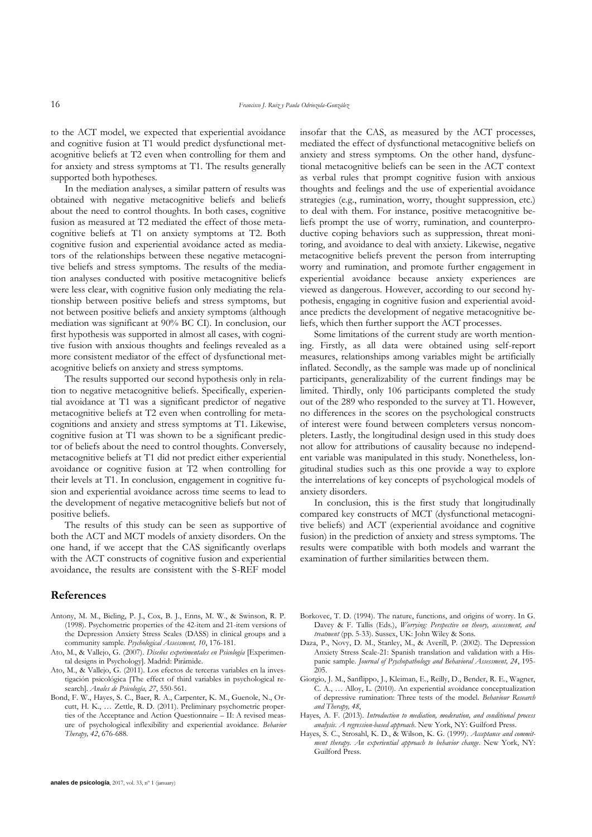to the ACT model, we expected that experiential avoidance and cognitive fusion at T1 would predict dysfunctional metacognitive beliefs at T2 even when controlling for them and for anxiety and stress symptoms at T1. The results generally supported both hypotheses.

In the mediation analyses, a similar pattern of results was obtained with negative metacognitive beliefs and beliefs about the need to control thoughts. In both cases, cognitive fusion as measured at T2 mediated the effect of those metacognitive beliefs at T1 on anxiety symptoms at T2. Both cognitive fusion and experiential avoidance acted as mediators of the relationships between these negative metacognitive beliefs and stress symptoms. The results of the mediation analyses conducted with positive metacognitive beliefs were less clear, with cognitive fusion only mediating the relationship between positive beliefs and stress symptoms, but not between positive beliefs and anxiety symptoms (although mediation was significant at 90% BC CI). In conclusion, our first hypothesis was supported in almost all cases, with cognitive fusion with anxious thoughts and feelings revealed as a more consistent mediator of the effect of dysfunctional metacognitive beliefs on anxiety and stress symptoms.

The results supported our second hypothesis only in relation to negative metacognitive beliefs. Specifically, experiential avoidance at T1 was a significant predictor of negative metacognitive beliefs at T2 even when controlling for metacognitions and anxiety and stress symptoms at T1. Likewise, cognitive fusion at T1 was shown to be a significant predictor of beliefs about the need to control thoughts. Conversely, metacognitive beliefs at T1 did not predict either experiential avoidance or cognitive fusion at T2 when controlling for their levels at T1. In conclusion, engagement in cognitive fusion and experiential avoidance across time seems to lead to the development of negative metacognitive beliefs but not of positive beliefs.

The results of this study can be seen as supportive of both the ACT and MCT models of anxiety disorders. On the one hand, if we accept that the CAS significantly overlaps with the ACT constructs of cognitive fusion and experiential avoidance, the results are consistent with the S-REF model

## **References**

- Antony, M. M., Bieling, P. J., Cox, B. J., Enns, M. W., & Swinson, R. P. (1998). Psychometric properties of the 42-item and 21-item versions of the Depression Anxiety Stress Scales (DASS) in clinical groups and a community sample. *Psychological Assessment, 10*, 176-181.
- Ato, M., & Vallejo, G. (2007). *Diseños experimentales en Psicología* [Experimental designs in Psychology]. Madrid: Pirámide.
- Ato, M., & Vallejo, G. (2011). Los efectos de terceras variables en la investigación psicológica [The effect of third variables in psychological research]. *Anales de Psicología, 27*, 550-561.
- Bond, F. W., Hayes, S. C., Baer, R. A., Carpenter, K. M., Guenole, N., Orcutt, H. K., … Zettle, R. D. (2011). Preliminary psychometric properties of the Acceptance and Action Questionnaire – II: A revised measure of psychological inflexibility and experiential avoidance. *Behavior Therapy, 42*, 676-688.

insofar that the CAS, as measured by the ACT processes, mediated the effect of dysfunctional metacognitive beliefs on anxiety and stress symptoms. On the other hand, dysfunctional metacognitive beliefs can be seen in the ACT context as verbal rules that prompt cognitive fusion with anxious thoughts and feelings and the use of experiential avoidance strategies (e.g., rumination, worry, thought suppression, etc.) to deal with them. For instance, positive metacognitive beliefs prompt the use of worry, rumination, and counterproductive coping behaviors such as suppression, threat monitoring, and avoidance to deal with anxiety. Likewise, negative metacognitive beliefs prevent the person from interrupting worry and rumination, and promote further engagement in experiential avoidance because anxiety experiences are viewed as dangerous. However, according to our second hypothesis, engaging in cognitive fusion and experiential avoidance predicts the development of negative metacognitive beliefs, which then further support the ACT processes.

Some limitations of the current study are worth mentioning. Firstly, as all data were obtained using self-report measures, relationships among variables might be artificially inflated. Secondly, as the sample was made up of nonclinical participants, generalizability of the current findings may be limited. Thirdly, only 106 participants completed the study out of the 289 who responded to the survey at T1. However, no differences in the scores on the psychological constructs of interest were found between completers versus noncompleters. Lastly, the longitudinal design used in this study does not allow for attributions of causality because no independent variable was manipulated in this study. Nonetheless, longitudinal studies such as this one provide a way to explore the interrelations of key concepts of psychological models of anxiety disorders.

In conclusion, this is the first study that longitudinally compared key constructs of MCT (dysfunctional metacognitive beliefs) and ACT (experiential avoidance and cognitive fusion) in the prediction of anxiety and stress symptoms. The results were compatible with both models and warrant the examination of further similarities between them.

- Borkovec, T. D. (1994). The nature, functions, and origins of worry. In G. Davey & F. Tallis (Eds.), *Worrying: Perspective on theory, assessment, and treatment* (pp. 5-33). Sussex, UK: John Wiley & Sons.
- Daza, P., Novy, D. M., Stanley, M., & Averill, P. (2002). The Depression Anxiety Stress Scale-21: Spanish translation and validation with a Hispanic sample. *Journal of Psychopathology and Behavioral Assessment, 24*, 195- 205.
- Giorgio, J. M., Sanflippo, J., Kleiman, E., Reilly, D., Bender, R. E., Wagner, C. A., … Alloy, L. (2010). An experiential avoidance conceptualization of depressive rumination: Three tests of the model. *Behaviour Research and Therapy, 48*,
- Hayes, A. F. (2013). *Introduction to mediation, moderation, and conditional process analysis. A regression-based approach*. New York, NY: Guilford Press.
- Hayes, S. C., Strosahl, K. D., & Wilson, K. G. (1999). *Acceptance and commitment therapy. An experiential approach to behavior change*. New York, NY: Guilford Press.